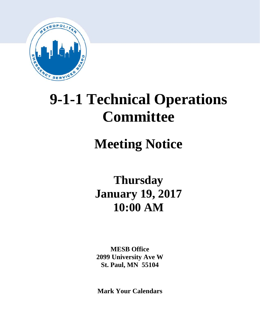

# **9-1-1 Technical Operations Committee**

# **Meeting Notice**

**Thursday January 19, 2017 10:00 AM**

**MESB Office 2099 University Ave W St. Paul, MN 55104**

**Mark Your Calendars**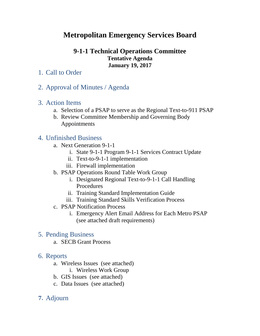## **Metropolitan Emergency Services Board**

## **9-1-1 Technical Operations Committee Tentative Agenda January 19, 2017**

## 1. Call to Order

2. Approval of Minutes / Agenda

## 3. Action Items

- a. Selection of a PSAP to serve as the Regional Text-to-911 PSAP
- b. Review Committee Membership and Governing Body Appointments

## 4. Unfinished Business

- a. Next Generation 9-1-1
	- i. State 9-1-1 Program 9-1-1 Services Contract Update
	- ii. Text-to-9-1-1 implementation
	- iii. Firewall implementation
- b. PSAP Operations Round Table Work Group
	- i. Designated Regional Text-to-9-1-1 Call Handling Procedures
	- ii. Training Standard Implementation Guide
	- iii. Training Standard Skills Verification Process
- c. PSAP Notification Process
	- i. Emergency Alert Email Address for Each Metro PSAP (see attached draft requirements)

## 5. Pending Business

a. SECB Grant Process

## 6. Reports

- a. Wireless Issues (see attached)
	- i. Wireless Work Group
- b. GIS Issues (see attached)
- c. Data Issues (see attached)
- **7.** Adjourn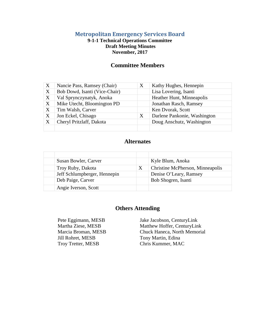#### **Metropolitan Emergency Services Board**

#### **9-1-1 Technical Operations Committee Draft Meeting Minutes November, 2017**

#### **Committee Members**

| $\boldsymbol{\mathrm{X}}$ | Nancie Pass, Ramsey (Chair)   | X | Kathy Hughes, Hennepin       |
|---------------------------|-------------------------------|---|------------------------------|
| X                         | Bob Dowd, Isanti (Vice-Chair) |   | Lisa Lovering, Isanti        |
| X                         | Val Sprynczynatyk, Anoka      |   | Heather Hunt, Minneapolis    |
| X                         | Mike Utecht, Bloomington PD   |   | Jonathan Rasch, Ramsey       |
| X                         | Tim Walsh, Carver             |   | Ken Dvorak, Scott            |
| X                         | Jon Eckel, Chisago            | Χ | Darlene Pankonie, Washington |
| X                         | Cheryl Pritzlaff, Dakota      |   | Doug Anschutz, Washington    |
|                           |                               |   |                              |

### **Alternates**

| Susan Bowler, Carver         |   | Kyle Blum, Anoka                 |
|------------------------------|---|----------------------------------|
| Troy Ruby, Dakota            | X | Christine McPherson, Minneapolis |
| Jeff Schlumpberger, Hennepin |   | Denise O'Leary, Ramsey           |
| Deb Paige, Carver            |   | Bob Shogren, Isanti              |
| Angie Iverson, Scott         |   |                                  |

#### **Others Attending**

Marcia Broman, MESB Jill Rohret, MESB Troy Tretter, MESB

Pete Eggimann, MESB Jake Jacobson, CenturyLink<br>Martha Ziese, MESB Matthew Hoffer, CenturyLin Matthew Hoffer, CenturyLink Chuck Haneca, North Memorial Tony Martin, Edina Chris Kummer, MAC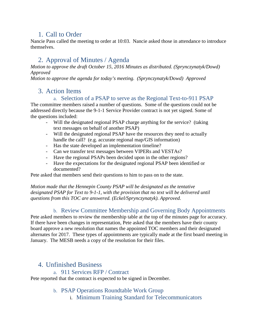## 1. Call to Order

Nancie Pass called the meeting to order at 10:03. Nancie asked those in attendance to introduce themselves.

## 2. Approval of Minutes / Agenda

*Motion to approve the draft October 15, 2016 Minutes as distributed. (Sprynczynatyk/Dowd) Approved*

*Motion to approve the agenda for today's meeting. (Sprynczynatyk/Dowd) Approved*

## 3. Action Items

a. Selection of a PSAP to serve as the Regional Text-to-911 PSAP

The committee members raised a number of questions. Some of the questions could not be addressed directly because the 9-1-1 Service Provider contract is not yet signed. Some of the questions included:

- Will the designated regional PSAP charge anything for the service? (taking text messages on behalf of another PSAP)
- Will the designated regional PSAP have the resources they need to actually handle the call? (e.g. accurate regional map/GIS information)
- Has the state developed an implementation timeline?
- Can we transfer text messages between VIPERs and VESTAs?
- Have the regional PSAPs been decided upon in the other regions?
- Have the expectations for the designated regional PSAP been identified or documented?

Pete asked that members send their questions to him to pass on to the state.

*Motion made that the Hennepin County PSAP will be designated as the tentative designated PSAP for Text to 9-1-1, with the provision that no text will be delivered until questions from this TOC are answered. (Eckel/Sprynczynatyk). Approved.*

### b. Review Committee Membership and Governing Body Appointments

Pete asked members to review the membership table at the top of the minutes page for accuracy. If there have been changes in representation, Pete asked that the members have their county board approve a new resolution that names the appointed TOC members and their designated alternates for 2017. These types of appointments are typically made at the first board meeting in January. The MESB needs a copy of the resolution for their files.

## 4. Unfinished Business

a. 911 Services RFP / Contract

Pete reported that the contract is expected to be signed in December.

b. PSAP Operations Roundtable Work Group

i. Minimum Training Standard for Telecommunicators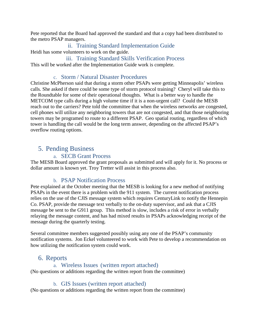Pete reported that the Board had approved the standard and that a copy had been distributed to the metro PSAP managers.

ii. Training Standard Implementation Guide Heidi has some volunteers to work on the guide.

iii. Training Standard Skills Verification Process This will be worked after the Implementation Guide work is complete.

### c. Storm / Natural Disaster Procedures

Christine McPherson said that during a storm other PSAPs were getting Minneapolis' wireless calls. She asked if there could be some type of storm protocol training? Cheryl will take this to the Roundtable for some of their operational thoughts. What is a better way to handle the METCOM type calls during a high volume time if it is a non-urgent call? Could the MESB reach out to the carriers? Pete told the committee that when the wireless networks are congested, cell phones will utilize any neighboring towers that are not congested, and that those neighboring towers may be programed to route to a different PSAP. Geo spatial routing, regardless of which tower is handling the call would be the long term answer, depending on the affected PSAP's overflow routing options.

## 5. Pending Business

### a. SECB Grant Process

The MESB Board approved the grant proposals as submitted and will apply for it. No process or dollar amount is known yet. Troy Tretter will assist in this process also.

## b. PSAP Notification Process

Pete explained at the October meeting that the MESB is looking for a new method of notifying PSAPs in the event there is a problem with the 911 system. The current notification process relies on the use of the CJIS message system which requires CenturyLink to notify the Hennepin Co. PSAP, provide the message text verbally to the on-duty supervisor, and ask that a CJIS message be sent to the G911 group. This method is slow, includes a risk of error in verbally relaying the message content, and has had mixed results in PSAPs acknowledging receipt of the message during the quarterly testing.

Several committee members suggested possibly using any one of the PSAP's community notification systems. Jon Eckel volunteered to work with Pete to develop a recommendation on how utilizing the notification system could work.

## 6. Reports

### a. Wireless Issues (written report attached)

(No questions or additions regarding the written report from the committee)

### b. GIS Issues (written report attached)

(No questions or additions regarding the written report from the committee)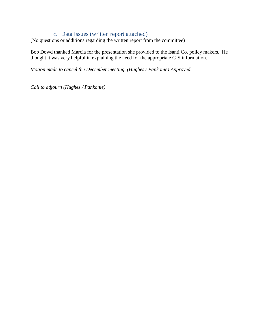#### c. Data Issues (written report attached)

(No questions or additions regarding the written report from the committee)

Bob Dowd thanked Marcia for the presentation she provided to the Isanti Co. policy makers. He thought it was very helpful in explaining the need for the appropriate GIS information.

*Motion made to cancel the December meeting. (Hughes / Pankonie) Approved.* 

*Call to adjourn (Hughes / Pankonie)*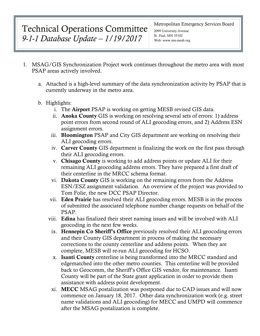## Technical Operations Committee *9-1-1 Database Update – 1/19/2017*

#### Metropolitan Emergency Services Board

2099 University Avenue St. Paul, MN 55102 Web: www.mn-mesb.org

- 1. MSAG/GIS Synchronization Project work continues throughout the metro area with most PSAP areas actively involved.
	- a. Attached is a high-level summary of the data synchronization activity by PSAP that is currently underway in the metro area.
	- b. Highlights:
		- i. The Airport PSAP is working on getting MESB revised GIS data.
		- ii. Anoka County GIS is working on resolving several sets of errors: 1) address point errors from second round of ALI geocoding errors, and 2) Address ESN assignment errors.
		- iii. Bloomington PSAP and City GIS department are working on resolving their ALI geocoding errors.
		- iv. Carver County GIS department is finalizing the work on the first pass through their ALI geocoding errors.
		- v. Chisago County is working to add address points or update ALI for their remaining ALI geocoding address errors. They have prepared a first draft of their centerline in the MRCC schema format.
		- vi. Dakota County GIS is working on the remaining errors from the Address ESN/ESZ assignment validation. An overview of the project was provided to Tom Folie, the new DCC PSAP Director.
		- vii. Eden Prairie has resolved their ALI geocoding errors. MESB is in the process of submitted the associated telephone number change requests on behalf of the PSAP.
		- viii. Edina has finalized their street naming issues and will be involved with ALI geocoding in the next few weeks.
			- ix. Hennepin Co Sheriff's Office previously resolved their ALI geocoding errors and their County GIS department in process of making the necessary corrections to the county centerline and address points. When they are complete, MESB will re-run ALI geocoding for HCSO.
			- x. Isanti County centerline is being transformed into the MRCC standard and edgematched into the other metro counties. This centerline will be provided back to Geocomm, the Sheriff's Office GIS vendor, for maintenance. Isanti County will be part of the State grant application in order to provide them assistance with address point development.
			- xi. MECC MSAG postalization was postponed due to CAD issues and will now commence on January 18, 2017. Other data synchronization work (e.g. street name validations and ALI geocoding) for MECC and UMPD will commence after the MSAG postalization is complete.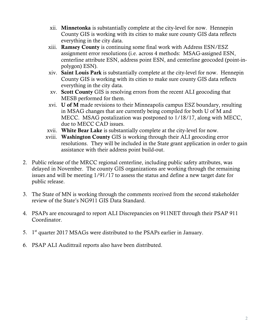- xii. Minnetonka is substantially complete at the city-level for now. Hennepin County GIS is working with its cities to make sure county GIS data reflects everything in the city data.
- xiii. Ramsey County is continuing some final work with Address ESN/ESZ assignment error resolutions (i.e. across 4 methods: MSAG-assigned ESN, centerline attribute ESN, address point ESN, and centerline geocoded (point-inpolygon) ESN).
- xiv. Saint Louis Park is substantially complete at the city-level for now. Hennepin County GIS is working with its cities to make sure county GIS data reflects everything in the city data.
- xv. Scott County GIS is resolving errors from the recent ALI geocoding that MESB performed for them.
- xvi. U of M made revisions to their Minneapolis campus ESZ boundary, resulting in MSAG changes that are currently being compiled for both U of M and MECC. MSAG postalization was postponed to 1/18/17, along with MECC, due to MECC CAD issues.
- xvii. White Bear Lake is substantially complete at the city-level for now.
- xviii. Washington County GIS is working through their ALI geocoding error resolutions. They will be included in the State grant application in order to gain assistance with their address point build-out.
- 2. Public release of the MRCC regional centerline, including public safety attributes, was delayed in November. The county GIS organizations are working through the remaining issues and will be meeting 1/91/17 to assess the status and define a new target date for public release.
- 3. The State of MN is working through the comments received from the second stakeholder review of the State's NG911 GIS Data Standard.
- 4. PSAPs are encouraged to report ALI Discrepancies on 911NET through their PSAP 911 Coordinator.
- 5. 1<sup>st</sup> quarter 2017 MSAGs were distributed to the PSAPs earlier in January.
- 6. PSAP ALI Audittrail reports also have been distributed.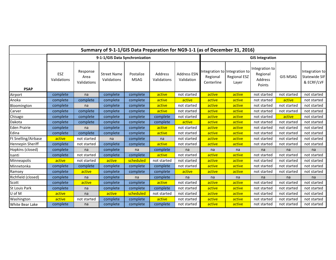| Summary of 9-1-1/GIS Data Preparation for NG9-1-1 (as of December 31, 2016) |                                |                                 |                                   |                          |                        |                                  |                                                         |                              |                                                 |                 |                                               |
|-----------------------------------------------------------------------------|--------------------------------|---------------------------------|-----------------------------------|--------------------------|------------------------|----------------------------------|---------------------------------------------------------|------------------------------|-------------------------------------------------|-----------------|-----------------------------------------------|
|                                                                             | 9-1-1/GIS Data Synchronization |                                 |                                   |                          |                        | <b>GIS Integration</b>           |                                                         |                              |                                                 |                 |                                               |
| <b>PSAP</b>                                                                 | ESZ<br>Validations             | Response<br>Area<br>Validations | <b>Street Name</b><br>Validations | Postalize<br><b>MSAG</b> | Address<br>Validations | <b>Address ESN</b><br>Validation | Integration to Integration to<br>Regional<br>Centerline | <b>Regional ESZ</b><br>Layer | Integration to<br>Regional<br>Address<br>Points | <b>GIS MSAG</b> | Integration to<br>Statewide SIF<br>& ECRF/LVF |
| Airport                                                                     | complete                       | na                              | complete                          | complete                 | active                 | not started                      | active                                                  | active                       | not started                                     | not started     | not started                                   |
| Anoka                                                                       | complete                       | complete                        | complete                          | complete                 | active                 | active                           | active                                                  | active                       | not started                                     | active          | not started                                   |
| Bloomington                                                                 | complete                       | na                              | complete                          | complete                 | active                 | not started                      | active                                                  | active                       | not started                                     | not started     | not started                                   |
| Carver                                                                      | complete                       | complete                        | complete                          | complete                 | active                 | not started                      | active                                                  | active                       | not started                                     | not started     | not started                                   |
| Chisago                                                                     | complete                       | complete                        | complete                          | complete                 | complete               | not started                      | active                                                  | active                       | not started                                     | active          | not started                                   |
| Dakota                                                                      | complete                       | complete                        | complete                          | complete                 | complete               | active                           | active                                                  | active                       | not started                                     | not started     | not started                                   |
| Eden Prairie                                                                | complete                       | na                              | complete                          | complete                 | active                 | not started                      | active                                                  | active                       | not started                                     | not started     | not started                                   |
| Edina                                                                       | complete                       | complete                        | complete                          | complete                 | active                 | not started                      | active                                                  | active                       | not started                                     | not started     | not started                                   |
| Ft Snelling/Airbase                                                         | active                         | not started                     | na                                | complete                 | na                     | not started                      | active                                                  | active                       | not started                                     | not started     | not started                                   |
| Hennepin Sheriff                                                            | complete                       | not started                     | complete                          | complete                 | active                 | not started                      | active                                                  | active                       | not started                                     | not started     | not started                                   |
| Hopkins (closed)                                                            | complete                       | na                              | complete                          | na                       | complete               | na                               | na                                                      | na                           | na                                              | na              | na                                            |
| Isanti                                                                      | complete                       | not started                     | complete                          | complete                 | active                 | not started                      | active                                                  | active                       | not started                                     | not started     | not started                                   |
| Minneapolis                                                                 | active                         | not started                     | active                            | scheduled                | not started            | not started                      | active                                                  | active                       | not started                                     | not started     | not started                                   |
| Minnetonka                                                                  | complete                       | complete                        | complete                          | complete                 | complete               | not started                      | active                                                  | active                       | not started                                     | not started     | not started                                   |
| Ramsey                                                                      | complete                       | active                          | complete                          | complete                 | complete               | active                           | active                                                  | active                       | not started                                     | not started     | not started                                   |
| Richfield (closed)                                                          | complete                       | na                              | complete                          | na                       | complete               | na                               | na                                                      | na                           | na                                              | na              | na                                            |
| Scott                                                                       | complete                       | active                          | complete                          | complete                 | active                 | not started                      | active                                                  | active                       | not started                                     | not started     | not started                                   |
| St Louis Park                                                               | complete                       | na                              | complete                          | complete                 | complete               | not started                      | active                                                  | active                       | not started                                     | not started     | not started                                   |
| U of M                                                                      | active                         | na                              | active                            | scheduled                | not started            | not started                      | active                                                  | active                       | not started                                     | not started     | not started                                   |
| Washington                                                                  | active                         | not started                     | complete                          | complete                 | active                 | not started                      | active                                                  | active                       | not started                                     | not started     | not started                                   |
| White Bear Lake                                                             | complete                       | na                              | complete                          | complete                 | complete               | not started                      | active                                                  | active                       | not started                                     | not started     | not started                                   |